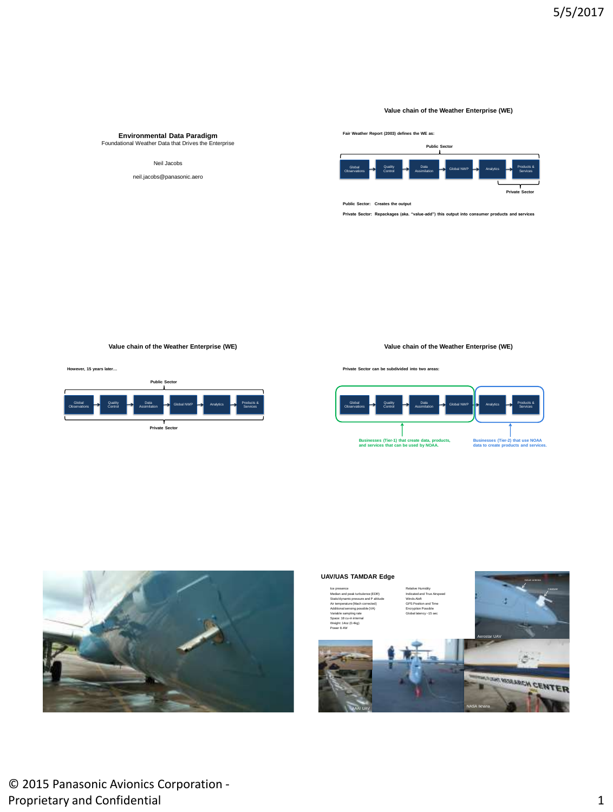## **Value chain of the Weather Enterprise (WE)**

# **Environmental Data Paradigm** Foundational Weather Data that Drives the Enterprise

### Neil Jacobs

neil.jacobs@panasonic.aero

**Fair Weather Report (2003) defines the WE as:** 



**Public Sector: Creates the output**

**Private Sector: Repackages (aka. "value-add") this output into consumer products and services** 

**Value chain of the Weather Enterprise (WE)**

**However, 15 years later…**



**Private Sector can be subdivided into two areas:**



**Value chain of the Weather Enterprise (WE)**



### **UAV/UAS TAMDAR Edge**

#### Ice presence **Relative Humidity** Median and peak turbulence (EDR) Indicated and True Airspeed Static/dynamic pressure and P altitude Winds Aloft Air temperature (Mach corrected) GPS Position and Time Additional sensing possible (VA) Encryption Possible Variable sampling rate Global latency ~15 sec Space: 18 cu-in internal Weight: 14oz (0.4kg) Power 8.4W

AAAI UAV



NASA Ikhana

© 2015 Panasonic Avionics Corporation - Proprietary and Confidential 1 and 2008 1 and 2008 1 and 2008 1 and 2008 1 and 2008 1 and 2008 1 and 2008 1 and 2008 1 and 2008 1 and 2008 1 and 2008 1 and 2008 1 and 2008 1 and 2008 1 and 2008 1 and 2008 1 and 2008 1 and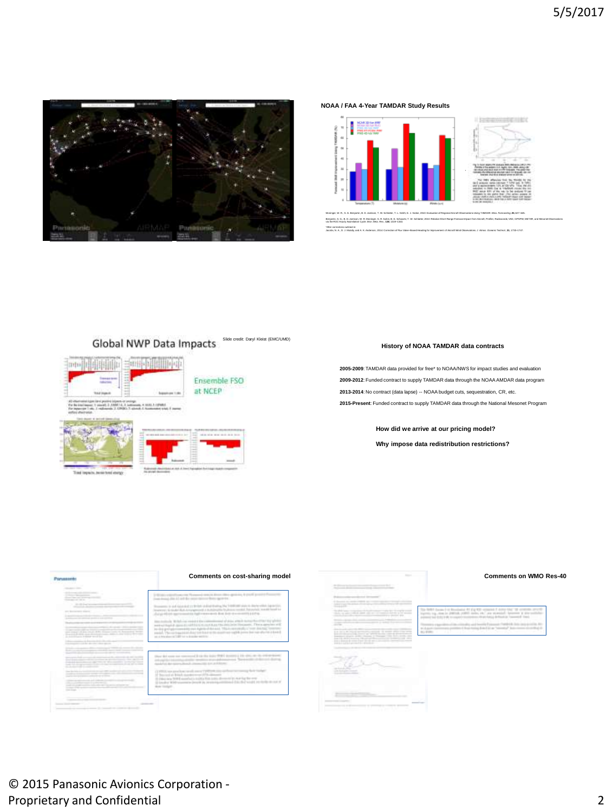

**NOAA / FAA 4-Year TAMDAR Study Results**



Moninger, W. R., S. G. Benjamin, B. D. Jamison, T. W. Schlatter, T. L. Smith, E. J. Szoke, 2010: Evaluation of Regional Aircraft Observations Using TAMDAR. *Wea. Forecasting*, **25**, 627–645. Berjamin, S. G., B. D. Jemison, W. R. Moriews, S. R. S. S. Schwartz, T. W. Schieler, 2010: Relative Short-Range Forecast Impact from Ancadt, Profiler, Radioscode, VAD, GPSPW, METAR, and Masonet Observations.<br>vis the RUC Ho

\*After corrections outlined in:<br>Nambe, N. A. D. J. Models, and A. K. Jacobs, N. A., D. J. Mulally, and A. K. Anderson, 2014: Correction of Flux Valve–Based Heading for Improvement of Aircraft Wind Observations*. J. Atmos. Oceanic Technol*., **31**, 1733–1747.

### Global NWP Data Impacts adit: Daryl Kleist (EMC/UMD)







## **History of NOAA TAMDAR data contracts**

**2005-2009**: TAMDAR data provided for free\* to NOAA/NWS for impact studies and evaluation **2009-2012**: Funded contract to supply TAMDAR data through the NOAA AMDAR data program 2013-2014: No contract (data lapse) -- NOAA budget cuts, sequestration, CR, etc. **2015-Present**: Funded contract to supply TAMDAR data through the National Mesonet Program

**How did we arrive at our pricing model?**

**Why impose data redistribution restrictions?**





© 2015 Panasonic Avionics Corporation - Proprietary and Confidential 2